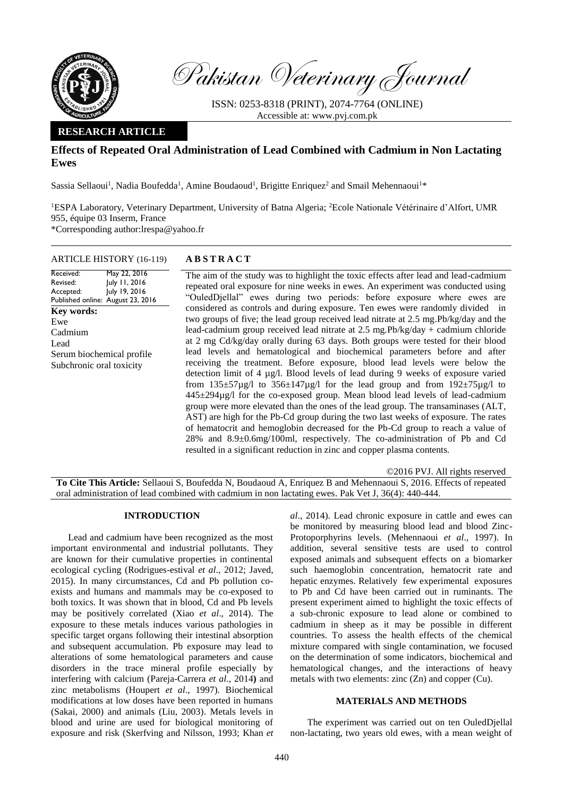

Pakistan Veterinary Journal

ISSN: 0253-8318 (PRINT), 2074-7764 (ONLINE) Accessible at: [www.pvj.com.pk](http://www.pvj.com.pk/)

# **RESEARCH ARTICLE**

# **Effects of Repeated Oral Administration of Lead Combined with Cadmium in Non Lactating Ewes**

Sassia Sellaoui<sup>1</sup>, Nadia Boufedda<sup>1</sup>, Amine Boudaoud<sup>1</sup>, Brigitte Enriquez<sup>2</sup> and Smail Mehennaoui<sup>1\*</sup>

<sup>1</sup>ESPA Laboratory, Veterinary Department, University of Batna Algeria; <sup>2</sup>Ecole Nationale Vétérinaire d'Alfort, UMR 955, équipe 03 Inserm, France \*Corresponding author:lrespa@yahoo.fr

# ARTICLE HISTORY (16-119) **A B S T R A C T**

#### Received: Revised: Accepted: Published online: August 23, 2016 May 22, 2016 July 11, 2016 July 19, 2016 **Key words:**  Ewe Cadmium Lead Serum biochemical profile Subchronic oral toxicity

The aim of the study was to highlight the toxic effects after lead and lead-cadmium repeated oral exposure for nine weeks in ewes. An experiment was conducted using "OuledDjellal" ewes during two periods: before exposure where ewes are considered as controls and during exposure. Ten ewes were randomly divided in two groups of five; the lead group received lead nitrate at 2.5 mg.Pb/kg/day and the lead-cadmium group received lead nitrate at 2.5 mg.Pb/kg/day + cadmium chloride at 2 mg Cd/kg/day orally during 63 days. Both groups were tested for their blood lead levels and hematological and biochemical parameters before and after receiving the treatment. Before exposure, blood lead levels were below the detection limit of 4 µg/l. Blood levels of lead during 9 weeks of exposure varied from  $135\pm57\mu g/l$  to  $356\pm147\mu g/l$  for the lead group and from  $192\pm75\mu g/l$  to 445±294µg/l for the co-exposed group. Mean blood lead levels of lead-cadmium group were more elevated than the ones of the lead group. The transaminases (ALT, AST) are high for the Pb-Cd group during the two last weeks of exposure. The rates of hematocrit and hemoglobin decreased for the Pb-Cd group to reach a value of 28% and 8.9±0.6mg/100ml, respectively. The co-administration of Pb and Cd resulted in a significant reduction in zinc and copper plasma contents.

©2016 PVJ. All rights reserved **To Cite This Article:** Sellaoui S, Boufedda N, Boudaoud A, Enriquez B and Mehennaoui S, 2016. Effects of repeated oral administration of lead combined with cadmium in non lactating ewes. Pak Vet J, 36(4): 440-444.

# **INTRODUCTION**

Lead and cadmium have been recognized as the most important environmental and industrial pollutants. They are known for their cumulative properties in continental ecological cycling (Rodrigues-estival *et al*., 2012; Javed, 2015). In many circumstances, Cd and Pb pollution coexists and humans and mammals may be co-exposed to both toxics. It was shown that in blood, Cd and Pb levels may be positively correlated (Xiao *et al*., 2014). The exposure to these metals induces various pathologies in specific target organs following their intestinal absorption and subsequent accumulation. Pb exposure may lead to alterations of some hematological parameters and cause disorders in the trace mineral profile especially by interfering with calcium (Pareja-Carrera *et al*., 2014**)** and zinc metabolisms (Houpert *et al*., 1997). Biochemical modifications at low doses have been reported in humans (Sakai, 2000) and animals (Liu, 2003). Metals levels in blood and urine are used for biological monitoring of exposure and risk (Skerfving and Nilsson, 1993; Khan *et*

*al*., 2014). Lead chronic exposure in cattle and ewes can be monitored by measuring blood lead and blood Zinc-Protoporphyrins levels. (Mehennaoui *et al*., 1997). In addition, several sensitive tests are used to control exposed animals and subsequent effects on a biomarker such haemoglobin concentration, hematocrit rate and hepatic enzymes. Relatively few experimental exposures to Pb and Cd have been carried out in ruminants. The present experiment aimed to highlight the toxic effects of a sub-chronic exposure to lead alone or combined to cadmium in sheep as it may be possible in different countries. To assess the health effects of the chemical mixture compared with single contamination, we focused on the determination of some indicators, biochemical and hematological changes, and the interactions of heavy metals with two elements: zinc (Zn) and copper (Cu).

# **MATERIALS AND METHODS**

The experiment was carried out on ten OuledDjellal non-lactating, two years old ewes, with a mean weight of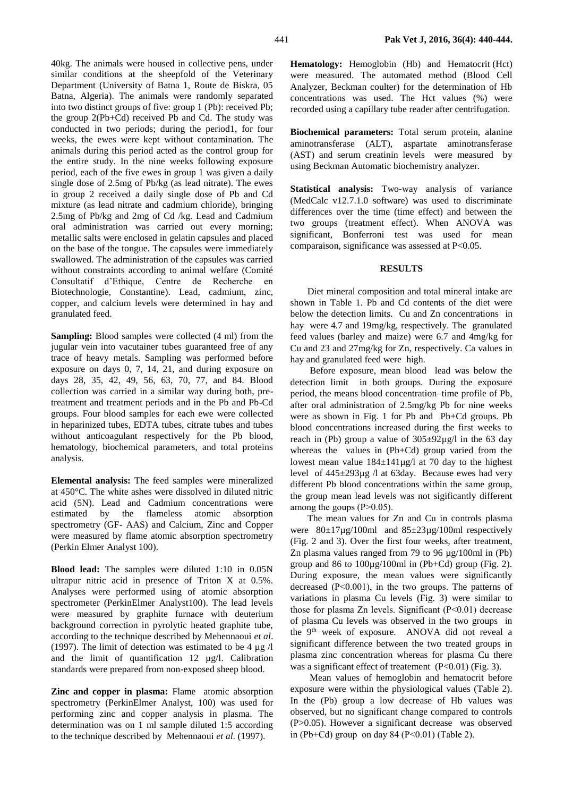40kg. The animals were housed in collective pens, under similar conditions at the sheepfold of the Veterinary Department (University of Batna 1, Route de Biskra, 05 Batna, Algeria). The animals were randomly separated into two distinct groups of five: group 1 (Pb): received Pb; the group 2(Pb+Cd) received Pb and Cd. The study was conducted in two periods; during the period1, for four weeks, the ewes were kept without contamination. The animals during this period acted as the control group for the entire study. In the nine weeks following exposure period, each of the five ewes in group 1 was given a daily single dose of 2.5mg of Pb/kg (as lead nitrate). The ewes in group 2 received a daily single dose of Pb and Cd mixture (as lead nitrate and cadmium chloride), bringing 2.5mg of Pb/kg and 2mg of Cd /kg. Lead and Cadmium oral administration was carried out every morning; metallic salts were enclosed in gelatin capsules and placed on the base of the tongue. The capsules were immediately swallowed. The administration of the capsules was carried without constraints according to animal welfare (Comité Consultatif d'Ethique, Centre de Recherche en Biotechnologie, Constantine). Lead, cadmium, zinc, copper, and calcium levels were determined in hay and granulated feed.

**Sampling:** Blood samples were collected (4 ml) from the jugular vein into vacutainer tubes guaranteed free of any trace of heavy metals. Sampling was performed before exposure on days 0, 7, 14, 21, and during exposure on days 28, 35, 42, 49, 56, 63, 70, 77, and 84. Blood collection was carried in a similar way during both, pretreatment and treatment periods and in the Pb and Pb-Cd groups. Four blood samples for each ewe were collected in heparinized tubes, EDTA tubes, citrate tubes and tubes without anticoagulant respectively for the Pb blood, hematology, biochemical parameters, and total proteins analysis.

**Elemental analysis:** The feed samples were mineralized at 450°C. The white ashes were dissolved in diluted nitric acid (5N). Lead and Cadmium concentrations were estimated by the flameless atomic absorption spectrometry (GF- AAS) and Calcium, Zinc and Copper were measured by flame atomic absorption spectrometry (Perkin Elmer Analyst 100).

**Blood lead:** The samples were diluted 1:10 in 0.05N ultrapur nitric acid in presence of Triton X at 0.5%. Analyses were performed using of atomic absorption spectrometer (PerkinElmer Analyst100). The lead levels were measured by graphite furnace with deuterium background correction in pyrolytic heated graphite tube, according to the technique described by Mehennaoui *et al*. (1997). The limit of detection was estimated to be 4  $\mu$ g /l and the limit of quantification  $12 \mu g/l$ . Calibration standards were prepared from non-exposed sheep blood.

**Zinc and copper in plasma:** Flame atomic absorption spectrometry (PerkinElmer Analyst, 100) was used for performing zinc and copper analysis in plasma. The determination was on 1 ml sample diluted 1:5 according to the technique described by Mehennaoui *et al*. (1997).

**Hematology:** Hemoglobin (Hb) and Hematocrit (Hct) were measured. The automated method (Blood Cell Analyzer, Beckman coulter) for the determination of Hb concentrations was used. The Hct values (%) were recorded using a capillary tube reader after centrifugation.

**Biochemical parameters:** Total serum protein, alanine aminotransferase (ALT), aspartate aminotransferase (AST) and serum creatinin levels were measured by using Beckman Automatic biochemistry analyzer.

**Statistical analysis:** Two-way analysis of variance (MedCalc v12.7.1.0 software) was used to discriminate differences over the time (time effect) and between the two groups (treatment effect). When ANOVA was significant, Bonferroni test was used for mean comparaison, significance was assessed at P<0.05.

# **RESULTS**

Diet mineral composition and total mineral intake are shown in Table 1. Pb and Cd contents of the diet were below the detection limits. Cu and Zn concentrations in hay were 4.7 and 19mg/kg, respectively. The granulated feed values (barley and maize) were 6.7 and 4mg/kg for Cu and 23 and 27mg/kg for Zn, respectively. Ca values in hay and granulated feed were high.

Before exposure, mean blood lead was below the detection limit in both groups. During the exposure period, the means blood concentration–time profile of Pb, after oral administration of 2.5mg/kg Pb for nine weeks were as shown in Fig. 1 for Pb and Pb+Cd groups. Pb blood concentrations increased during the first weeks to reach in (Pb) group a value of  $305\pm92\mu g/l$  in the 63 day whereas the values in (Pb+Cd) group varied from the lowest mean value  $184 \pm 141 \mu$ g/l at 70 day to the highest level of 445±293µg /l at 63day. Because ewes had very different Pb blood concentrations within the same group, the group mean lead levels was not sigificantly different among the goups  $(P>0.05)$ .

The mean values for Zn and Cu in controls plasma were 80±17µg/100ml and 85±23µg/100ml respectively (Fig. 2 and 3). Over the first four weeks, after treatment, Zn plasma values ranged from 79 to 96 µg/100ml in (Pb) group and 86 to 100µg/100ml in (Pb+Cd) group (Fig. 2). During exposure, the mean values were significantly decreased (P˂0.001), in the two groups. The patterns of variations in plasma Cu levels (Fig. 3) were similar to those for plasma Zn levels. Significant (P˂0.01) decrease of plasma Cu levels was observed in the two groups in the 9<sup>th</sup> week of exposure. ANOVA did not reveal a significant difference between the two treated groups in plasma zinc concentration whereas for plasma Cu there was a significant effect of treatement (P<0.01) (Fig. 3).

Mean values of hemoglobin and hematocrit before exposure were within the physiological values (Table 2). In the (Pb) group a low decrease of Hb values was observed, but no significant change compared to controls (P>0.05). However a significant decrease was observed in (Pb+Cd) group on day  $84$  (P<0.01) (Table 2).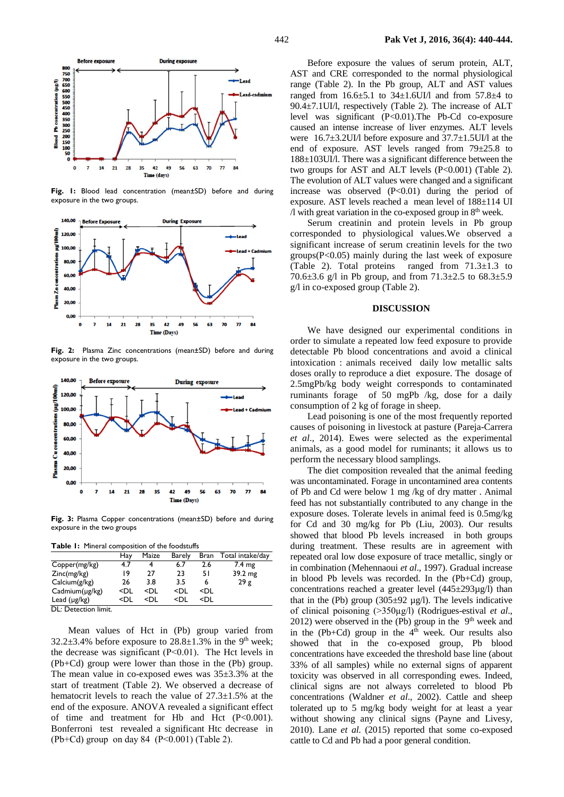

**Fig. 1:** Blood lead concentration (mean±SD) before and during exposure in the two groups.



**Fig. 2:** Plasma Zinc concentrations (mean±SD) before and during exposure in the two groups.



**Fig. 3:** Plasma Copper concentrations (mean±SD) before and during exposure in the two groups

|  | <b>Table I:</b> Mineral composition of the foodstuffs |  |
|--|-------------------------------------------------------|--|
|  |                                                       |  |

|                                             | Hay                                                                                                      | Maize                                                                          | <b>Barely</b>                                        | Bran                       | Total intake/day |
|---------------------------------------------|----------------------------------------------------------------------------------------------------------|--------------------------------------------------------------------------------|------------------------------------------------------|----------------------------|------------------|
| Copper(mg/kg)                               | 4.7                                                                                                      |                                                                                | 6.7                                                  | 2.6                        | 7.4 mg           |
| Zinc(mg/kg)                                 | 19                                                                                                       | 27                                                                             | 23                                                   | 51                         | 39.2 mg          |
| Calcium(g/kg)                               | 26                                                                                                       | 3.8                                                                            | 3.5                                                  | 6                          | 29g              |
| $C$ admium $(\mu$ g/kg)                     | <dl< td=""><td><dl< td=""><td><dl< td=""><td><dl< td=""><td></td></dl<></td></dl<></td></dl<></td></dl<> | <dl< td=""><td><dl< td=""><td><dl< td=""><td></td></dl<></td></dl<></td></dl<> | <dl< td=""><td><dl< td=""><td></td></dl<></td></dl<> | <dl< td=""><td></td></dl<> |                  |
| Lead $(\mu g/kg)$                           | <dl< td=""><td><di< td=""><td><di< td=""><td><dl< td=""><td></td></dl<></td></di<></td></di<></td></dl<> | <di< td=""><td><di< td=""><td><dl< td=""><td></td></dl<></td></di<></td></di<> | <di< td=""><td><dl< td=""><td></td></dl<></td></di<> | <dl< td=""><td></td></dl<> |                  |
| $\mathsf{DI} \cdot \mathsf{Location}$ limit |                                                                                                          |                                                                                |                                                      |                            |                  |

DL: Detection limit.

Mean values of Hct in (Pb) group varied from 32.2 $\pm$ 3.4% before exposure to 28.8 $\pm$ 1.3% in the 9<sup>th</sup> week; the decrease was significant (P˂0.01). The Hct levels in (Pb+Cd) group were lower than those in the (Pb) group. The mean value in co-exposed ewes was  $35\pm3.3$ % at the start of treatment (Table 2). We observed a decrease of hematocrit levels to reach the value of 27.3±1.5% at the end of the exposure. ANOVA revealed a significant effect of time and treatment for Hb and Hct (P<0.001). Bonferroni test revealed a significant Htc decrease in (Pb+Cd) group on day 84 (P˂0.001) (Table 2).

Before exposure the values of serum protein, ALT, AST and CRE corresponded to the normal physiological range (Table 2). In the Pb group, ALT and AST values ranged from  $16.6\pm5.1$  to  $34\pm1.6$ UI/l and from  $57.8\pm4$  to 90.4±7.1UI/l, respectively (Table 2). The increase of ALT level was significant (P<0.01).The Pb-Cd co-exposure caused an intense increase of liver enzymes. ALT levels were 16.7±3.2UI/l before exposure and 37.7±1.5UI/l at the end of exposure. AST levels ranged from 79±25.8 to 188±103UI/l. There was a significant difference between the two groups for AST and ALT levels (P<0.001) (Table 2). The evolution of ALT values were changed and a significant increase was observed  $(P<0.01)$  during the period of exposure. AST levels reached a mean level of 188±114 UI  $\Lambda$  with great variation in the co-exposed group in  $8<sup>th</sup>$  week.

Serum creatinin and protein levels in Pb group corresponded to physiological values.We observed a significant increase of serum creatinin levels for the two groups $(P<0.05)$  mainly during the last week of exposure (Table 2). Total proteins ranged from  $71.3 \pm 1.3$  to 70.6 $\pm$ 3.6 g/l in Pb group, and from 71.3 $\pm$ 2.5 to 68.3 $\pm$ 5.9 g/l in co-exposed group (Table 2).

# **DISCUSSION**

We have designed our experimental conditions in order to simulate a repeated low feed exposure to provide detectable Pb blood concentrations and avoid a clinical intoxication : animals received daily low metallic salts doses orally to reproduce a diet exposure. The dosage of 2.5mgPb/kg body weight corresponds to contaminated ruminants forage of 50 mgPb /kg, dose for a daily consumption of 2 kg of forage in sheep.

Lead poisoning is one of the most frequently reported causes of poisoning in livestock at pasture (Pareja-Carrera *et al*., 2014). Ewes were selected as the experimental animals, as a good model for ruminants; it allows us to perform the necessary blood samplings.

The diet composition revealed that the animal feeding was uncontaminated. Forage in uncontamined area contents of Pb and Cd were below 1 mg /kg of dry matter . Animal feed has not substantially contributed to any change in the exposure doses. Tolerate levels in animal feed is 0.5mg/kg for Cd and 30 mg/kg for Pb (Liu, 2003). Our results showed that blood Pb levels increased in both groups during treatment. These results are in agreement with repeated oral low dose exposure of trace metallic, singly or in combination (Mehennaoui *et al*., 1997). Gradual increase in blood Pb levels was recorded. In the (Pb+Cd) group, concentrations reached a greater level (445±293µg/l) than that in the (Pb) group  $(305\pm92 \text{ µg/l})$ . The levels indicative of clinical poisoning (˃350µg/l) (Rodrigues-estival *et al*., 2012) were observed in the (Pb) group in the  $9<sup>th</sup>$  week and in the (Pb+Cd) group in the  $4<sup>th</sup>$  week. Our results also showed that in the co-exposed group, Pb blood concentrations have exceeded the threshold base line (about 33% of all samples) while no external signs of apparent toxicity was observed in all corresponding ewes. Indeed, clinical signs are not always correleted to blood Pb concentrations (Waldner *et al*., 2002). Cattle and sheep tolerated up to 5 mg/kg body weight for at least a year without showing any clinical signs (Payne and Livesy, 2010). Lane *et al*. (2015) reported that some co-exposed cattle to Cd and Pb had a poor general condition.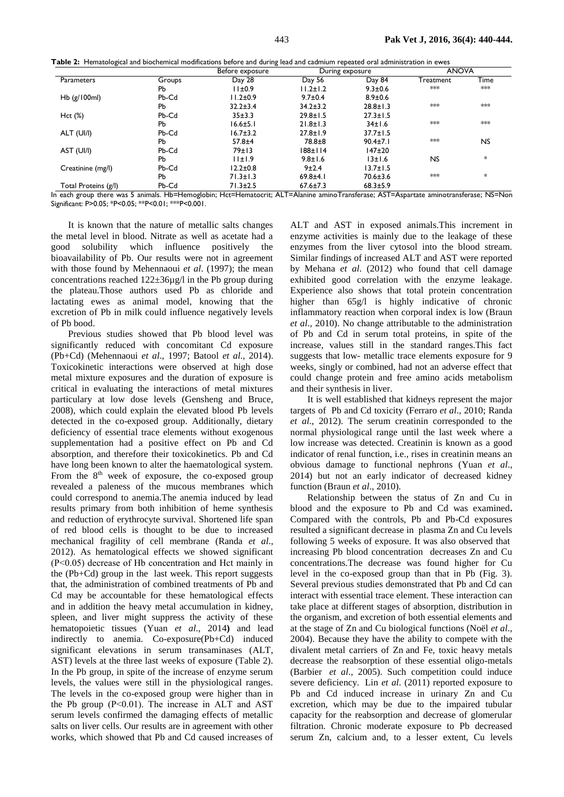|  |  | Table 2: Hematological and biochemical modifications before and during lead and cadmium repeated oral administration in ewes |  |  |
|--|--|------------------------------------------------------------------------------------------------------------------------------|--|--|
|--|--|------------------------------------------------------------------------------------------------------------------------------|--|--|

|                      |           | Before exposure |                | During exposure              | <b>ANOVA</b> |           |
|----------------------|-----------|-----------------|----------------|------------------------------|--------------|-----------|
| Parameters           | Groups    | Day 28          | Day 56         | Day 84                       | Treatment    | Time      |
|                      | PЬ        | 11±0.9          | $11.2 \pm 1.2$ | $9.3 \pm 0.6$                | ***          | ***       |
| Hb $(g/100ml)$       | Pb-Cd     | $11.2 \pm 0.9$  | $9.7 \pm 0.4$  | $8.9 \pm 0.6$                |              |           |
|                      | Pb        | $32.2 \pm 3.4$  | $34.2 \pm 3.2$ | $28.8 \pm 1.3$               | $***$        | $***$     |
| $Hct (\%)$           | Pb-Cd     | 35±3.3          | $29.8 \pm 1.5$ | $27.3 \pm 1.5$               |              |           |
|                      | Рb        | $16.6 \pm 5.1$  | $21.8 \pm 1.3$ | 34±1.6                       | $***$        | $***$     |
| ALT (UI/I)           | Pb-Cd     | $16.7 \pm 3.2$  | $27.8 \pm 1.9$ | $37.7 \pm 1.5$               |              |           |
|                      | <b>Pb</b> | $57.8 + 4$      | $78.8 + 8$     | $90.4 \pm 7.1$               | $***$        | <b>NS</b> |
| AST (UI/I)           | Pb-Cd     | 79±13           | 188±114        | $147\pm20$                   |              |           |
|                      | Pb        | 11±1.9          | $9.8 \pm 1.6$  | 13±1.6                       | <b>NS</b>    | $\ast$    |
| Creatinine (mg/l)    | Pb-Cd     | $12.2 \pm 0.8$  | 9±2.4          | $13.7 \pm 1.5$               |              |           |
|                      | Pb        | $71.3 \pm 1.3$  | $69.8 + 4.1$   | $70.6 \pm 3.6$               | $***$        | $\ast$    |
| Total Proteins (g/l) | Pb-Cd     | $71.3 \pm 2.5$  | $67.6 \pm 7.3$ | $68.3 \pm 5.9$<br>$\sqrt{2}$ |              |           |

In each group there was 5 animals. Hb=Hemoglobin; Hct=Hematocrit; ALT=Alanine aminoTransferase; AST=Aspartate aminotransferase; NS=Non Significant: P˃0.05; \*P<0.05; \*\*P<0.01; \*\*\*P<0.001.

It is known that the nature of metallic salts changes the metal level in blood. Nitrate as well as acetate had a good solubility which influence positively the bioavailability of Pb. Our results were not in agreement with those found by Mehennaoui *et al*. (1997); the mean concentrations reached 122±36µg/l in the Pb group during the plateau.Those authors used Pb as chloride and lactating ewes as animal model, knowing that the excretion of Pb in milk could influence negatively levels of Pb bood.

Previous studies showed that Pb blood level was significantly reduced with concomitant Cd exposure (Pb+Cd) (Mehennaoui *et al*., 1997; Batool *et al*., 2014). Toxicokinetic interactions were observed at high dose metal mixture exposures and the duration of exposure is critical in evaluating the interactions of metal mixtures particulary at low dose levels (Gensheng and Bruce, 2008), which could explain the elevated blood Pb levels detected in the co-exposed group. Additionally, dietary deficiency of essential trace elements without exogenous supplementation had a positive effect on Pb and Cd absorption, and therefore their toxicokinetics. Pb and Cd have long been known to alter the haematological system. From the  $8<sup>th</sup>$  week of exposure, the co-exposed group revealed a paleness of the mucous membranes which could correspond to anemia.The anemia induced by lead results primary from both inhibition of heme synthesis and reduction of erythrocyte survival. Shortened life span of red blood cells is thought to be due to increased mechanical fragility of cell membrane (Randa *et al*., 2012). As hematological effects we showed significant (P˂0.05) decrease of Hb concentration and Hct mainly in the (Pb+Cd) group in the last week. This report suggests that, the administration of combined treatments of Pb and Cd may be accountable for these hematological effects and in addition the heavy metal accumulation in kidney, spleen, and liver might suppress the activity of these hematopoietic tissues (Yuan *et al*., 2014**)** and lead indirectly to anemia. Co-exposure(Pb+Cd) induced significant elevations in serum transaminases (ALT, AST) levels at the three last weeks of exposure (Table 2). In the Pb group, in spite of the increase of enzyme serum levels, the values were still in the physiological ranges. The levels in the co-exposed group were higher than in the Pb group (P˂0.01). The increase in ALT and AST serum levels confirmed the damaging effects of metallic salts on liver cells. Our results are in agreement with other works, which showed that Pb and Cd caused increases of ALT and AST in exposed animals.This increment in enzyme activities is mainly due to the leakage of these enzymes from the liver cytosol into the blood stream. Similar findings of increased ALT and AST were reported by Mehana *et al*. (2012) who found that cell damage exhibited good correlation with the enzyme leakage. Experience also shows that total protein concentration higher than 65g/l is highly indicative of chronic inflammatory reaction when corporal index is low (Braun *et al*., 2010). No change attributable to the administration of Pb and Cd in serum total proteins, in spite of the increase, values still in the standard ranges.This fact suggests that low- metallic trace elements exposure for 9 weeks, singly or combined, had not an adverse effect that could change protein and free amino acids metabolism and their synthesis in liver.

It is well established that kidneys represent the major targets of Pb and Cd toxicity (Ferraro *et al*., 2010; Randa *et al*., 2012). The serum creatinin corresponded to the normal physiological range until the last week where a low increase was detected. Creatinin is known as a good indicator of renal function, i.e., rises in creatinin means an obvious damage to functional nephrons (Yuan *et al*., 2014) but not an early indicator of decreased kidney function (Braun *et al*., 2010).

Relationship between the status of Zn and Cu in blood and the exposure to Pb and Cd was examined**.**  Compared with the controls, Pb and Pb-Cd exposures resulted a significant decrease in plasma Zn and Cu levels following 5 weeks of exposure. It was also observed that increasing Pb blood concentration decreases Zn and Cu concentrations.The decrease was found higher for Cu level in the co-exposed group than that in Pb (Fig. 3). Several previous studies demonstrated that Pb and Cd can interact with essential trace element. These interaction can take place at different stages of absorption, distribution in the organism, and excretion of both essential elements and at the stage of Zn and Cu biological functions (Noël *et al*., 2004). Because they have the ability to compete with the divalent metal carriers of Zn and Fe, toxic heavy metals decrease the reabsorption of these essential oligo-metals (Barbier *et al*., 2005). Such competition could induce severe deficiency. Lin *et al*. (2011) reported exposure to Pb and Cd induced increase in urinary Zn and Cu excretion, which may be due to the impaired tubular capacity for the reabsorption and decrease of glomerular filtration. Chronic moderate exposure to Pb decreased serum Zn, calcium and, to a lesser extent, Cu levels